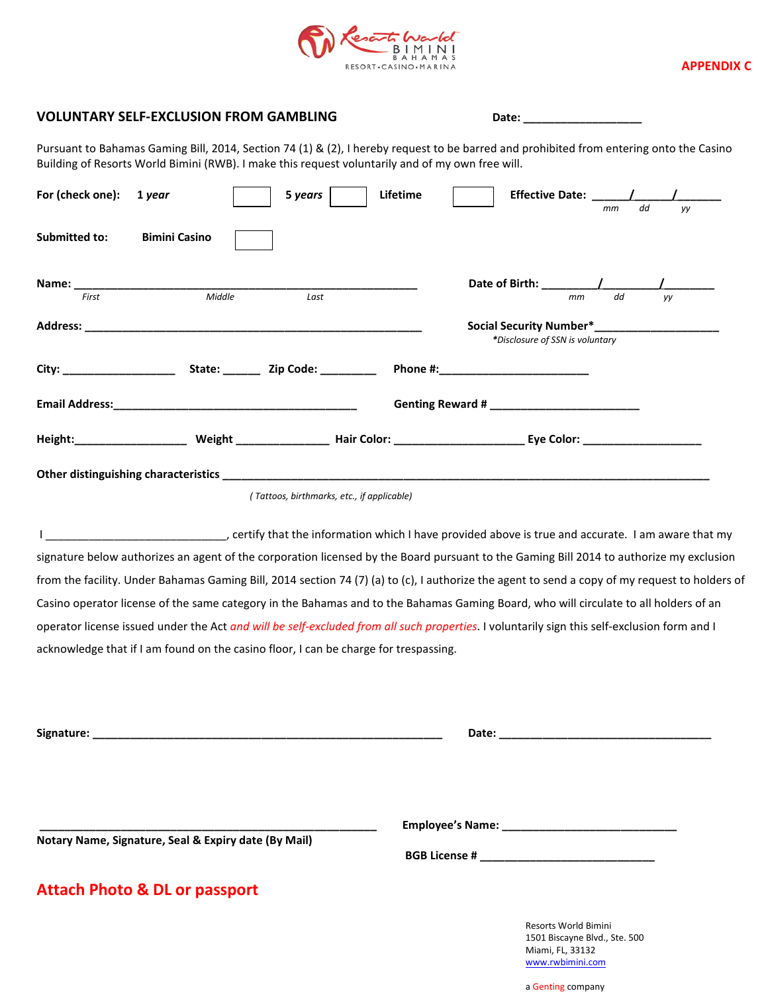

## **APPENDIX C**

## VOLUNTARY SELF-EXCLUSION FROM GAMBLING **Date:** \_\_\_\_\_\_\_\_\_\_\_\_\_\_\_\_\_\_\_\_\_\_\_\_\_\_\_\_\_\_\_\_\_\_\_

Pursuant to Bahamas Gaming Bill, 2014, Section 74 (1) & (2), I hereby request to be barred and prohibited from entering onto the Casino Building of Resorts World Bimini (RWB). I make this request voluntarily and of my own free will.

| For (check one): 1 year |                                                                                                                | 5 years | Lifetime                                   |                                       | Effective Date: $\frac{1}{\sqrt{1-\frac{1}{2}}}\frac{1}{\sqrt{1-\frac{1}{2}}}\frac{1}{\sqrt{1-\frac{1}{2}}}\frac{1}{\sqrt{1-\frac{1}{2}}}\frac{1}{\sqrt{1-\frac{1}{2}}}\frac{1}{\sqrt{1-\frac{1}{2}}}\frac{1}{\sqrt{1-\frac{1}{2}}}\frac{1}{\sqrt{1-\frac{1}{2}}}\frac{1}{\sqrt{1-\frac{1}{2}}}\frac{1}{\sqrt{1-\frac{1}{2}}}\frac{1}{\sqrt{1-\frac{1}{2}}}\frac{1}{\sqrt{1-\frac{1}{2}}}\frac{1}{\sqrt{1-\frac{$ |    |
|-------------------------|----------------------------------------------------------------------------------------------------------------|---------|--------------------------------------------|---------------------------------------|-------------------------------------------------------------------------------------------------------------------------------------------------------------------------------------------------------------------------------------------------------------------------------------------------------------------------------------------------------------------------------------------------------------------|----|
| Submitted to:           | <b>Bimini Casino</b>                                                                                           |         |                                            |                                       | dd<br>mm                                                                                                                                                                                                                                                                                                                                                                                                          | yy |
| First                   | Middle                                                                                                         |         |                                            |                                       | dd                                                                                                                                                                                                                                                                                                                                                                                                                |    |
|                         |                                                                                                                | Last    |                                            | mm<br>*Disclosure of SSN is voluntary | yy                                                                                                                                                                                                                                                                                                                                                                                                                |    |
|                         |                                                                                                                |         |                                            | Phone #:_________________________     |                                                                                                                                                                                                                                                                                                                                                                                                                   |    |
|                         | Email Address: No. 1996. The Second State of the Second State of the Second State of the Second State of the S |         |                                            | Genting Reward #                      |                                                                                                                                                                                                                                                                                                                                                                                                                   |    |
|                         |                                                                                                                |         |                                            |                                       |                                                                                                                                                                                                                                                                                                                                                                                                                   |    |
|                         |                                                                                                                |         |                                            |                                       |                                                                                                                                                                                                                                                                                                                                                                                                                   |    |
|                         |                                                                                                                |         | (Tattoos, birthmarks, etc., if applicable) |                                       |                                                                                                                                                                                                                                                                                                                                                                                                                   |    |

I certify that the information which I have provided above is true and accurate. I am aware that my signature below authorizes an agent of the corporation licensed by the Board pursuant to the Gaming Bill 2014 to authorize my exclusion from the facility. Under Bahamas Gaming Bill, 2014 section 74 (7) (a) to (c), I authorize the agent to send a copy of my request to holders of Casino operator license of the same category in the Bahamas and to the Bahamas Gaming Board, who will circulate to all holders of an operator license issued under the Act *and will be self-excluded from all such properties*. I voluntarily sign this self-exclusion form and I acknowledge that if I am found on the casino floor, I can be charge for trespassing.

| Notary Name, Signature, Seal & Expiry date (By Mail) | Employee's Name: Manual Manual Manual Manual Manual Manual Manual Manual Manual Manual Manual Manual Manual Ma |                                                                           |
|------------------------------------------------------|----------------------------------------------------------------------------------------------------------------|---------------------------------------------------------------------------|
|                                                      |                                                                                                                |                                                                           |
| <b>Attach Photo &amp; DL or passport</b>             |                                                                                                                |                                                                           |
|                                                      |                                                                                                                | Resorts World Bimini<br>1501 Biscayne Blvd., Ste. 500<br>Miami, FL, 33132 |

a Genting company

[www.rwbimini.com](http://www.rwbimini.com/)